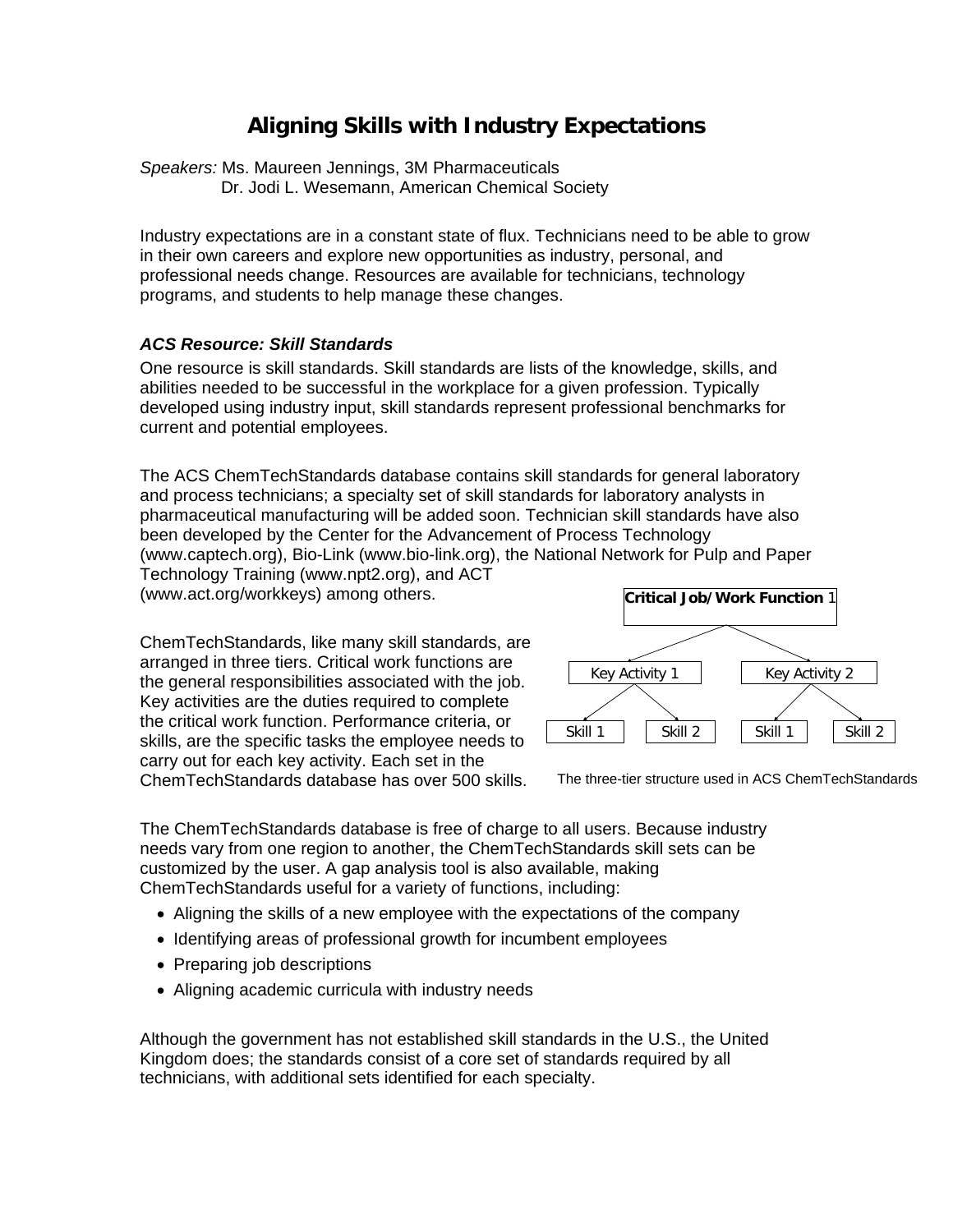# **Aligning Skills with Industry Expectations**

*Speakers:* Ms. Maureen Jennings, 3M Pharmaceuticals Dr. Jodi L. Wesemann, American Chemical Society

Industry expectations are in a constant state of flux. Technicians need to be able to grow in their own careers and explore new opportunities as industry, personal, and professional needs change. Resources are available for technicians, technology programs, and students to help manage these changes.

#### *ACS Resource: Skill Standards*

One resource is skill standards. Skill standards are lists of the knowledge, skills, and abilities needed to be successful in the workplace for a given profession. Typically developed using industry input, skill standards represent professional benchmarks for current and potential employees.

The ACS ChemTechStandards database contains skill standards for general laboratory and process technicians; a specialty set of skill standards for laboratory analysts in pharmaceutical manufacturing will be added soon. Technician skill standards have also been developed by the Center for the Advancement of Process Technology (www.captech.org), Bio-Link (www.bio-link.org), the National Network for Pulp and Paper

Technology Training (www.npt2.org), and ACT (www.act.org/workkeys) among others.

ChemTechStandards, like many skill standards, are arranged in three tiers. Critical work functions are the general responsibilities associated with the job. Key activities are the duties required to complete the critical work function. Performance criteria, or skills, are the specific tasks the employee needs to carry out for each key activity. Each set in the ChemTechStandards database has over 500 skills.



The three-tier structure used in ACS ChemTechStandards

The ChemTechStandards database is free of charge to all users. Because industry needs vary from one region to another, the ChemTechStandards skill sets can be customized by the user. A gap analysis tool is also available, making ChemTechStandards useful for a variety of functions, including:

- Aligning the skills of a new employee with the expectations of the company
- Identifying areas of professional growth for incumbent employees
- Preparing job descriptions
- Aligning academic curricula with industry needs

Although the government has not established skill standards in the U.S., the United Kingdom does; the standards consist of a core set of standards required by all technicians, with additional sets identified for each specialty.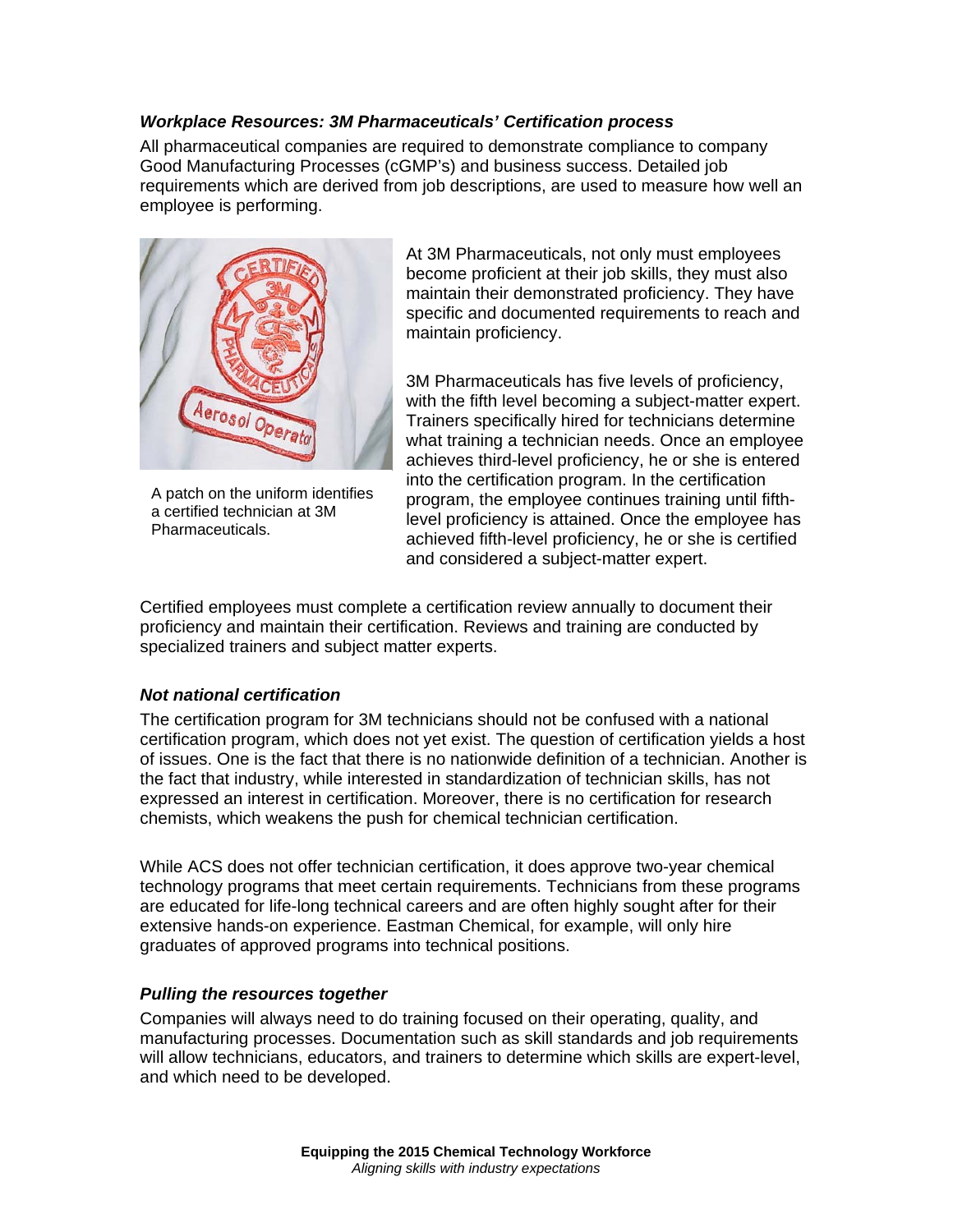## *Workplace Resources: 3M Pharmaceuticals' Certification process*

All pharmaceutical companies are required to demonstrate compliance to company Good Manufacturing Processes (cGMP's) and business success. Detailed job requirements which are derived from job descriptions, are used to measure how well an employee is performing.



A patch on the uniform identifies a certified technician at 3M Pharmaceuticals.

At 3M Pharmaceuticals, not only must employees become proficient at their job skills, they must also maintain their demonstrated proficiency. They have specific and documented requirements to reach and maintain proficiency.

3M Pharmaceuticals has five levels of proficiency, with the fifth level becoming a subject-matter expert. Trainers specifically hired for technicians determine what training a technician needs. Once an employee achieves third-level proficiency, he or she is entered into the certification program. In the certification program, the employee continues training until fifthlevel proficiency is attained. Once the employee has achieved fifth-level proficiency, he or she is certified and considered a subject-matter expert.

Certified employees must complete a certification review annually to document their proficiency and maintain their certification. Reviews and training are conducted by specialized trainers and subject matter experts.

### *Not national certification*

The certification program for 3M technicians should not be confused with a national certification program, which does not yet exist. The question of certification yields a host of issues. One is the fact that there is no nationwide definition of a technician. Another is the fact that industry, while interested in standardization of technician skills, has not expressed an interest in certification. Moreover, there is no certification for research chemists, which weakens the push for chemical technician certification.

While ACS does not offer technician certification, it does approve two-year chemical technology programs that meet certain requirements. Technicians from these programs are educated for life-long technical careers and are often highly sought after for their extensive hands-on experience. Eastman Chemical, for example, will only hire graduates of approved programs into technical positions.

### *Pulling the resources together*

Companies will always need to do training focused on their operating, quality, and manufacturing processes. Documentation such as skill standards and job requirements will allow technicians, educators, and trainers to determine which skills are expert-level, and which need to be developed.